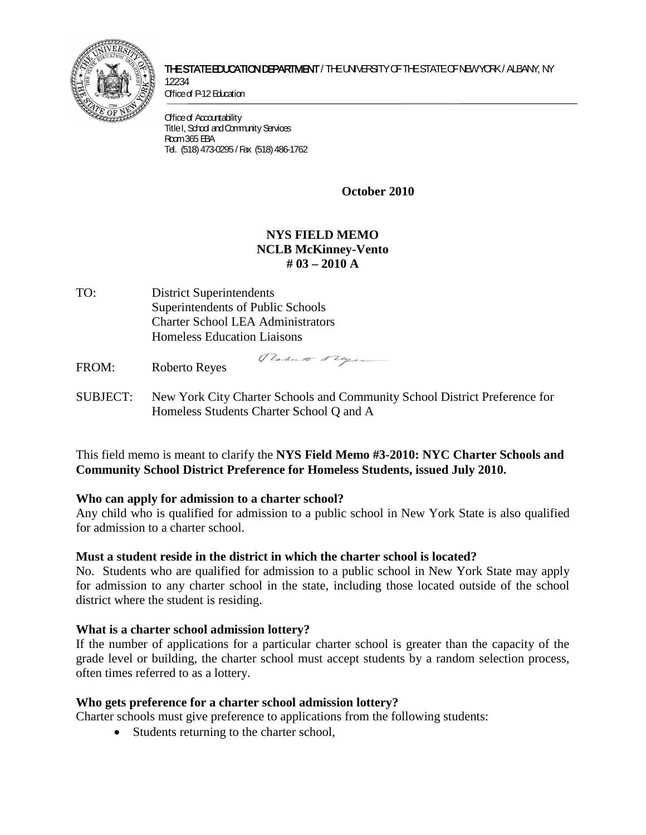

#### THE STATE EDUCATION DEPARTMENT / THE UNIVERSITY OF THE STATE OF NEW YORK / ALBANY, NY 12234

Office of P-12 Education

**Office of Accountability** Title I, School and Community Services Room 365 EBA Tel. (518) 473-0295 / Fax (518) 486-1762

**October 2010**

# **NYS FIELD MEMO NCLB McKinney-Vento # 03 – 2010 A**

TO: District Superintendents Superintendents of Public Schools Charter School LEA Administrators Homeless Education Liaisons

FROM: Roberto Reyes

Roberto Plague

SUBJECT: New York City Charter Schools and Community School District Preference for Homeless Students Charter School Q and A

This field memo is meant to clarify the **NYS Field Memo #3-2010: NYC Charter Schools and Community School District Preference for Homeless Students, issued July 2010.** 

## **Who can apply for admission to a charter school?**

Any child who is qualified for admission to a public school in New York State is also qualified for admission to a charter school.

## **Must a student reside in the district in which the charter school is located?**

No. Students who are qualified for admission to a public school in New York State may apply for admission to any charter school in the state, including those located outside of the school district where the student is residing.

## **What is a charter school admission lottery?**

If the number of applications for a particular charter school is greater than the capacity of the grade level or building, the charter school must accept students by a random selection process, often times referred to as a lottery.

## **Who gets preference for a charter school admission lottery?**

Charter schools must give preference to applications from the following students:

• Students returning to the charter school.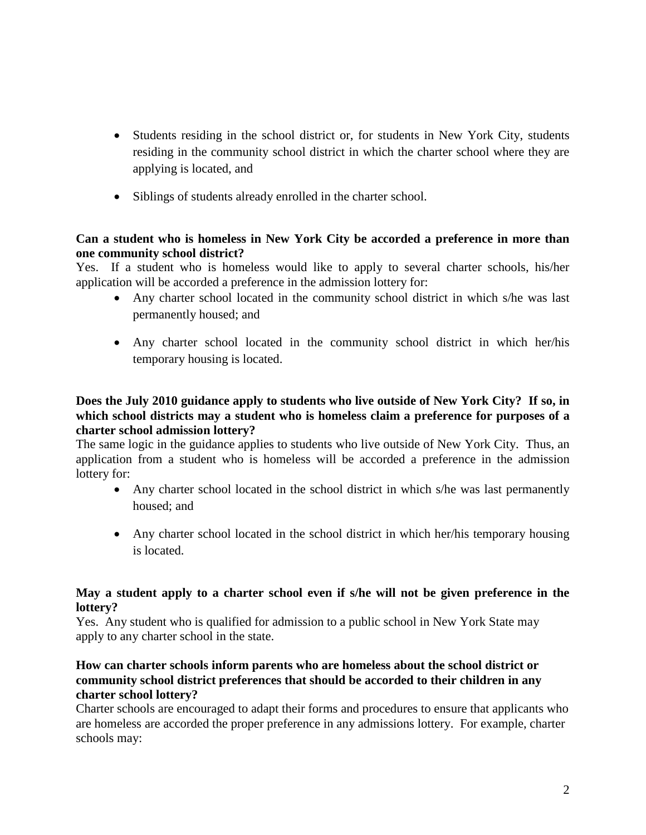- Students residing in the school district or, for students in New York City, students residing in the community school district in which the charter school where they are applying is located, and
- Siblings of students already enrolled in the charter school.

## **Can a student who is homeless in New York City be accorded a preference in more than one community school district?**

Yes. If a student who is homeless would like to apply to several charter schools, his/her application will be accorded a preference in the admission lottery for:

- Any charter school located in the community school district in which s/he was last permanently housed; and
- Any charter school located in the community school district in which her/his temporary housing is located.

## **Does the July 2010 guidance apply to students who live outside of New York City? If so, in which school districts may a student who is homeless claim a preference for purposes of a charter school admission lottery?**

The same logic in the guidance applies to students who live outside of New York City. Thus, an application from a student who is homeless will be accorded a preference in the admission lottery for:

- Any charter school located in the school district in which s/he was last permanently housed; and
- Any charter school located in the school district in which her/his temporary housing is located.

#### **May a student apply to a charter school even if s/he will not be given preference in the lottery?**

Yes. Any student who is qualified for admission to a public school in New York State may apply to any charter school in the state.

## **How can charter schools inform parents who are homeless about the school district or community school district preferences that should be accorded to their children in any charter school lottery?**

Charter schools are encouraged to adapt their forms and procedures to ensure that applicants who are homeless are accorded the proper preference in any admissions lottery. For example, charter schools may: